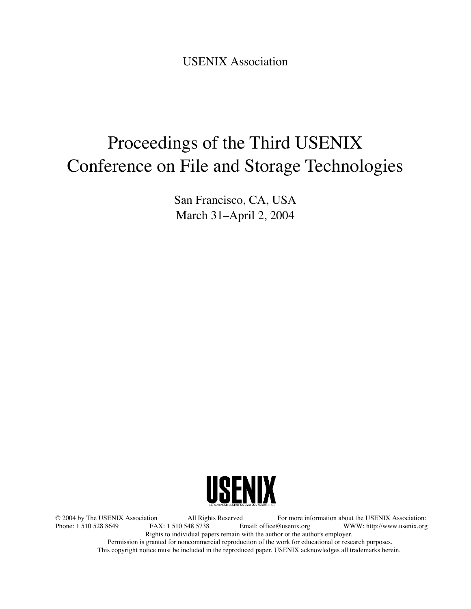USENIX Association

# Proceedings of the Third USENIX Conference on File and Storage Technologies

San Francisco, CA, USA March 31–April 2, 2004



© 2004 by The USENIX Association All Rights Reserved For more information about the USENIX Association: WWW: http://www.usenix.org Rights to individual papers remain with the author or the author's employer. Permission is granted for noncommercial reproduction of the work for educational or research purposes. This copyright notice must be included in the reproduced paper. USENIX acknowledges all trademarks herein.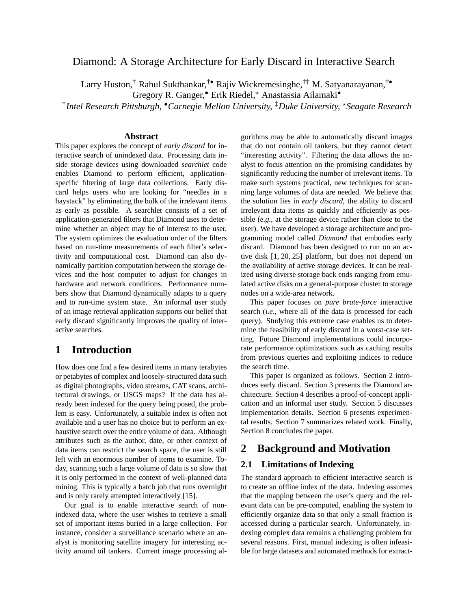# Diamond: A Storage Architecture for Early Discard in Interactive Search

Larry Huston,<sup>†</sup> Rahul Sukthankar,<sup>†•</sup> Rajiv Wickremesinghe,<sup>†‡</sup> M. Satyanarayanan,<sup>†•</sup>

Gregory R. Ganger,<sup>•</sup> Erik Riedel,\* Anastassia Ailamaki<sup>•</sup>

† *Intel Research Pittsburgh,* •*Carnegie Mellon University,* ‡*Duke University,* ?*Seagate Research*

### **Abstract**

This paper explores the concept of *early discard* for interactive search of unindexed data. Processing data inside storage devices using downloaded *searchlet* code enables Diamond to perform efficient, applicationspecific filtering of large data collections. Early discard helps users who are looking for "needles in a haystack" by eliminating the bulk of the irrelevant items as early as possible. A searchlet consists of a set of application-generated filters that Diamond uses to determine whether an object may be of interest to the user. The system optimizes the evaluation order of the filters based on run-time measurements of each filter's selectivity and computational cost. Diamond can also dynamically partition computation between the storage devices and the host computer to adjust for changes in hardware and network conditions. Performance numbers show that Diamond dynamically adapts to a query and to run-time system state. An informal user study of an image retrieval application supports our belief that early discard significantly improves the quality of interactive searches.

# **1 Introduction**

How does one find a few desired items in many terabytes or petabytes of complex and loosely-structured data such as digital photographs, video streams, CAT scans, architectural drawings, or USGS maps? If the data has already been indexed for the query being posed, the problem is easy. Unfortunately, a suitable index is often not available and a user has no choice but to perform an exhaustive search over the entire volume of data. Although attributes such as the author, date, or other context of data items can restrict the search space, the user is still left with an enormous number of items to examine. Today, scanning such a large volume of data is so slow that it is only performed in the context of well-planned data mining. This is typically a batch job that runs overnight and is only rarely attempted interactively [15].

Our goal is to enable interactive search of nonindexed data, where the user wishes to retrieve a small set of important items buried in a large collection. For instance, consider a surveillance scenario where an analyst is monitoring satellite imagery for interesting activity around oil tankers. Current image processing algorithms may be able to automatically discard images that do not contain oil tankers, but they cannot detect "interesting activity". Filtering the data allows the analyst to focus attention on the promising candidates by significantly reducing the number of irrelevant items. To make such systems practical, new techniques for scanning large volumes of data are needed. We believe that the solution lies in *early discard*, the ability to discard irrelevant data items as quickly and efficiently as possible (*e.g.*, at the storage device rather than close to the user). We have developed a storage architecture and programming model called *Diamond* that embodies early discard. Diamond has been designed to run on an active disk [1, 20, 25] platform, but does not depend on the availability of active storage devices. It can be realized using diverse storage back ends ranging from emulated active disks on a general-purpose cluster to storage nodes on a wide-area network.

This paper focuses on *pure brute-force* interactive search (*i.e.*, where all of the data is processed for each query). Studying this extreme case enables us to determine the feasibility of early discard in a worst-case setting. Future Diamond implementations could incorporate performance optimizations such as caching results from previous queries and exploiting indices to reduce the search time.

This paper is organized as follows. Section 2 introduces early discard. Section 3 presents the Diamond architecture. Section 4 describes a proof-of-concept application and an informal user study. Section 5 discusses implementation details. Section 6 presents experimental results. Section 7 summarizes related work. Finally, Section 8 concludes the paper.

# **2 Background and Motivation**

## **2.1 Limitations of Indexing**

The standard approach to efficient interactive search is to create an offline index of the data. Indexing assumes that the mapping between the user's query and the relevant data can be pre-computed, enabling the system to efficiently organize data so that only a small fraction is accessed during a particular search. Unfortunately, indexing complex data remains a challenging problem for several reasons. First, manual indexing is often infeasible for large datasets and automated methods for extract-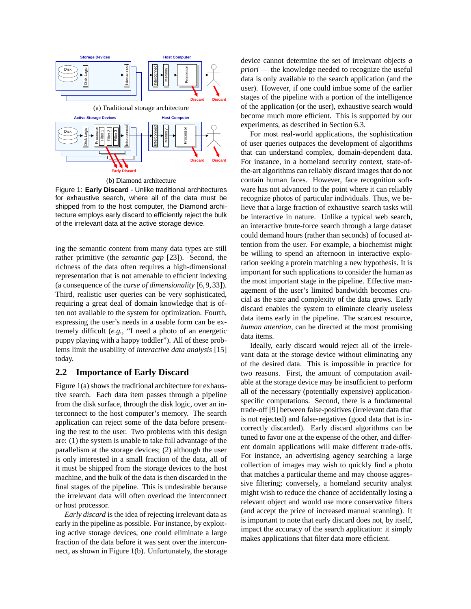

(b) Diamond architecture

Figure 1: **Early Discard** - Unlike traditional architectures for exhaustive search, where all of the data must be shipped from to the host computer, the Diamond architecture employs early discard to efficiently reject the bulk of the irrelevant data at the active storage device.

ing the semantic content from many data types are still rather primitive (the *semantic gap* [23]). Second, the richness of the data often requires a high-dimensional representation that is not amenable to efficient indexing (a consequence of the *curse of dimensionality* [6,9,33]). Third, realistic user queries can be very sophisticated, requiring a great deal of domain knowledge that is often not available to the system for optimization. Fourth, expressing the user's needs in a usable form can be extremely difficult (*e.g.*, "I need a photo of an energetic puppy playing with a happy toddler"). All of these problems limit the usability of *interactive data analysis* [15] today.

## **2.2 Importance of Early Discard**

Figure 1(a) shows the traditional architecture for exhaustive search. Each data item passes through a pipeline from the disk surface, through the disk logic, over an interconnect to the host computer's memory. The search application can reject some of the data before presenting the rest to the user. Two problems with this design are: (1) the system is unable to take full advantage of the parallelism at the storage devices; (2) although the user is only interested in a small fraction of the data, all of it must be shipped from the storage devices to the host machine, and the bulk of the data is then discarded in the final stages of the pipeline. This is undesirable because the irrelevant data will often overload the interconnect or host processor.

*Early discard* is the idea of rejecting irrelevant data as early in the pipeline as possible. For instance, by exploiting active storage devices, one could eliminate a large fraction of the data before it was sent over the interconnect, as shown in Figure 1(b). Unfortunately, the storage device cannot determine the set of irrelevant objects *a priori* — the knowledge needed to recognize the useful data is only available to the search application (and the user). However, if one could imbue some of the earlier stages of the pipeline with a portion of the intelligence of the application (or the user), exhaustive search would become much more efficient. This is supported by our experiments, as described in Section 6.3.

For most real-world applications, the sophistication of user queries outpaces the development of algorithms that can understand complex, domain-dependent data. For instance, in a homeland security context, state-ofthe-art algorithms can reliably discard images that do not contain human faces. However, face recognition software has not advanced to the point where it can reliably recognize photos of particular individuals. Thus, we believe that a large fraction of exhaustive search tasks will be interactive in nature. Unlike a typical web search, an interactive brute-force search through a large dataset could demand hours (rather than seconds) of focused attention from the user. For example, a biochemist might be willing to spend an afternoon in interactive exploration seeking a protein matching a new hypothesis. It is important for such applications to consider the human as the most important stage in the pipeline. Effective management of the user's limited bandwidth becomes crucial as the size and complexity of the data grows. Early discard enables the system to eliminate clearly useless data items early in the pipeline. The scarcest resource, *human attention*, can be directed at the most promising data items.

Ideally, early discard would reject all of the irrelevant data at the storage device without eliminating any of the desired data. This is impossible in practice for two reasons. First, the amount of computation available at the storage device may be insufficient to perform all of the necessary (potentially expensive) applicationspecific computations. Second, there is a fundamental trade-off [9] between false-positives (irrelevant data that is not rejected) and false-negatives (good data that is incorrectly discarded). Early discard algorithms can be tuned to favor one at the expense of the other, and different domain applications will make different trade-offs. For instance, an advertising agency searching a large collection of images may wish to quickly find a photo that matches a particular theme and may choose aggressive filtering; conversely, a homeland security analyst might wish to reduce the chance of accidentally losing a relevant object and would use more conservative filters (and accept the price of increased manual scanning). It is important to note that early discard does not, by itself, impact the accuracy of the search application: it simply makes applications that filter data more efficient.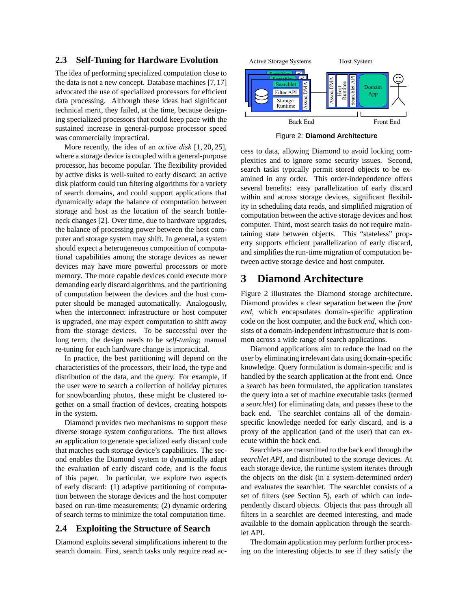## **2.3 Self-Tuning for Hardware Evolution**

The idea of performing specialized computation close to the data is not a new concept. Database machines [7,17] advocated the use of specialized processors for efficient data processing. Although these ideas had significant technical merit, they failed, at the time, because designing specialized processors that could keep pace with the sustained increase in general-purpose processor speed was commercially impractical.

More recently, the idea of an *active disk* [1, 20, 25], where a storage device is coupled with a general-purpose processor, has become popular. The flexibility provided by active disks is well-suited to early discard; an active disk platform could run filtering algorithms for a variety of search domains, and could support applications that dynamically adapt the balance of computation between storage and host as the location of the search bottleneck changes [2]. Over time, due to hardware upgrades, the balance of processing power between the host computer and storage system may shift. In general, a system should expect a heterogeneous composition of computational capabilities among the storage devices as newer devices may have more powerful processors or more memory. The more capable devices could execute more demanding early discard algorithms, and the partitioning of computation between the devices and the host computer should be managed automatically. Analogously, when the interconnect infrastructure or host computer is upgraded, one may expect computation to shift away from the storage devices. To be successful over the long term, the design needs to be *self-tuning*; manual re-tuning for each hardware change is impractical.

In practice, the best partitioning will depend on the characteristics of the processors, their load, the type and distribution of the data, and the query. For example, if the user were to search a collection of holiday pictures for snowboarding photos, these might be clustered together on a small fraction of devices, creating hotspots in the system.

Diamond provides two mechanisms to support these diverse storage system configurations. The first allows an application to generate specialized early discard code that matches each storage device's capabilities. The second enables the Diamond system to dynamically adapt the evaluation of early discard code, and is the focus of this paper. In particular, we explore two aspects of early discard: (1) adaptive partitioning of computation between the storage devices and the host computer based on run-time measurements; (2) dynamic ordering of search terms to minimize the total computation time.

## **2.4 Exploiting the Structure of Search**

Diamond exploits several simplifications inherent to the search domain. First, search tasks only require read ac-



Figure 2: **Diamond Architecture**

cess to data, allowing Diamond to avoid locking complexities and to ignore some security issues. Second, search tasks typically permit stored objects to be examined in any order. This order-independence offers several benefits: easy parallelization of early discard within and across storage devices, significant flexibility in scheduling data reads, and simplified migration of computation between the active storage devices and host computer. Third, most search tasks do not require maintaining state between objects. This "stateless" property supports efficient parallelization of early discard, and simplifies the run-time migration of computation between active storage device and host computer.

# **3 Diamond Architecture**

Figure 2 illustrates the Diamond storage architecture. Diamond provides a clear separation between the *front end*, which encapsulates domain-specific application code on the host computer, and the *back end*, which consists of a domain-independent infrastructure that is common across a wide range of search applications.

Diamond applications aim to reduce the load on the user by eliminating irrelevant data using domain-specific knowledge. Query formulation is domain-specific and is handled by the search application at the front end. Once a search has been formulated, the application translates the query into a set of machine executable tasks (termed a *searchlet*) for eliminating data, and passes these to the back end. The searchlet contains all of the domainspecific knowledge needed for early discard, and is a proxy of the application (and of the user) that can execute within the back end.

Searchlets are transmitted to the back end through the *searchlet API*, and distributed to the storage devices. At each storage device, the runtime system iterates through the objects on the disk (in a system-determined order) and evaluates the searchlet. The searchlet consists of a set of filters (see Section 5), each of which can independently discard objects. Objects that pass through all filters in a searchlet are deemed interesting, and made available to the domain application through the searchlet API.

The domain application may perform further processing on the interesting objects to see if they satisfy the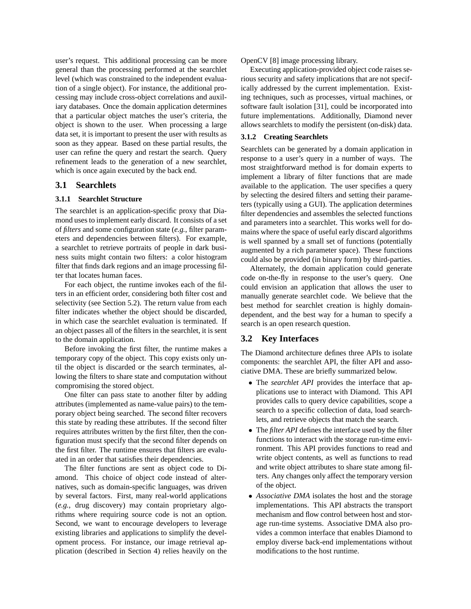user's request. This additional processing can be more general than the processing performed at the searchlet level (which was constrained to the independent evaluation of a single object). For instance, the additional processing may include cross-object correlations and auxiliary databases. Once the domain application determines that a particular object matches the user's criteria, the object is shown to the user. When processing a large data set, it is important to present the user with results as soon as they appear. Based on these partial results, the user can refine the query and restart the search. Query refinement leads to the generation of a new searchlet, which is once again executed by the back end.

#### **3.1 Searchlets**

#### **3.1.1 Searchlet Structure**

The searchlet is an application-specific proxy that Diamond uses to implement early discard. It consists of a set of *filters* and some configuration state (*e.g.*, filter parameters and dependencies between filters). For example, a searchlet to retrieve portraits of people in dark business suits might contain two filters: a color histogram filter that finds dark regions and an image processing filter that locates human faces.

For each object, the runtime invokes each of the filters in an efficient order, considering both filter cost and selectivity (see Section 5.2). The return value from each filter indicates whether the object should be discarded, in which case the searchlet evaluation is terminated. If an object passes all of the filters in the searchlet, it is sent to the domain application.

Before invoking the first filter, the runtime makes a temporary copy of the object. This copy exists only until the object is discarded or the search terminates, allowing the filters to share state and computation without compromising the stored object.

One filter can pass state to another filter by adding attributes (implemented as name-value pairs) to the temporary object being searched. The second filter recovers this state by reading these attributes. If the second filter requires attributes written by the first filter, then the configuration must specify that the second filter depends on the first filter. The runtime ensures that filters are evaluated in an order that satisfies their dependencies.

The filter functions are sent as object code to Diamond. This choice of object code instead of alternatives, such as domain-specific languages, was driven by several factors. First, many real-world applications (*e.g.*, drug discovery) may contain proprietary algorithms where requiring source code is not an option. Second, we want to encourage developers to leverage existing libraries and applications to simplify the development process. For instance, our image retrieval application (described in Section 4) relies heavily on the OpenCV [8] image processing library.

Executing application-provided object code raises serious security and safety implications that are not specifically addressed by the current implementation. Existing techniques, such as processes, virtual machines, or software fault isolation [31], could be incorporated into future implementations. Additionally, Diamond never allows searchlets to modify the persistent (on-disk) data.

#### **3.1.2 Creating Searchlets**

Searchlets can be generated by a domain application in response to a user's query in a number of ways. The most straightforward method is for domain experts to implement a library of filter functions that are made available to the application. The user specifies a query by selecting the desired filters and setting their parameters (typically using a GUI). The application determines filter dependencies and assembles the selected functions and parameters into a searchlet. This works well for domains where the space of useful early discard algorithms is well spanned by a small set of functions (potentially augmented by a rich parameter space). These functions could also be provided (in binary form) by third-parties.

Alternately, the domain application could generate code on-the-fly in response to the user's query. One could envision an application that allows the user to manually generate searchlet code. We believe that the best method for searchlet creation is highly domaindependent, and the best way for a human to specify a search is an open research question.

#### **3.2 Key Interfaces**

The Diamond architecture defines three APIs to isolate components: the searchlet API, the filter API and associative DMA. These are briefly summarized below.

- The *searchlet API* provides the interface that applications use to interact with Diamond. This API provides calls to query device capabilities, scope a search to a specific collection of data, load searchlets, and retrieve objects that match the search.
- The *filter API* defines the interface used by the filter functions to interact with the storage run-time environment. This API provides functions to read and write object contents, as well as functions to read and write object attributes to share state among filters. Any changes only affect the temporary version of the object.
- *Associative DMA* isolates the host and the storage implementations. This API abstracts the transport mechanism and flow control between host and storage run-time systems. Associative DMA also provides a common interface that enables Diamond to employ diverse back-end implementations without modifications to the host runtime.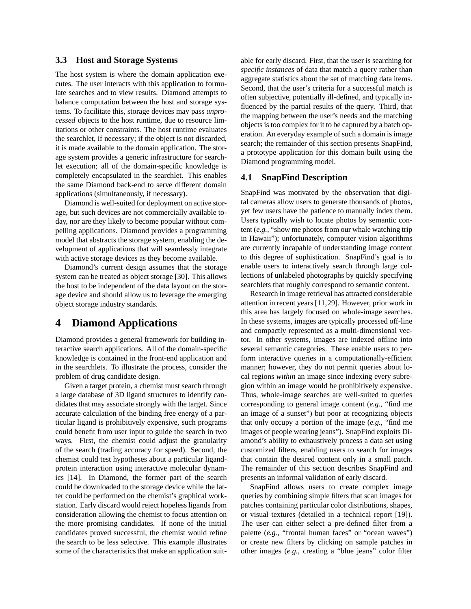#### **3.3 Host and Storage Systems**

The host system is where the domain application executes. The user interacts with this application to formulate searches and to view results. Diamond attempts to balance computation between the host and storage systems. To facilitate this, storage devices may pass *unprocessed* objects to the host runtime, due to resource limitations or other constraints. The host runtime evaluates the searchlet, if necessary; if the object is not discarded, it is made available to the domain application. The storage system provides a generic infrastructure for searchlet execution; all of the domain-specific knowledge is completely encapsulated in the searchlet. This enables the same Diamond back-end to serve different domain applications (simultaneously, if necessary).

Diamond is well-suited for deployment on active storage, but such devices are not commercially available today, nor are they likely to become popular without compelling applications. Diamond provides a programming model that abstracts the storage system, enabling the development of applications that will seamlessly integrate with active storage devices as they become available.

Diamond's current design assumes that the storage system can be treated as object storage [30]. This allows the host to be independent of the data layout on the storage device and should allow us to leverage the emerging object storage industry standards.

# **4 Diamond Applications**

Diamond provides a general framework for building interactive search applications. All of the domain-specific knowledge is contained in the front-end application and in the searchlets. To illustrate the process, consider the problem of drug candidate design.

Given a target protein, a chemist must search through a large database of 3D ligand structures to identify candidates that may associate strongly with the target. Since accurate calculation of the binding free energy of a particular ligand is prohibitively expensive, such programs could benefit from user input to guide the search in two ways. First, the chemist could adjust the granularity of the search (trading accuracy for speed). Second, the chemist could test hypotheses about a particular ligandprotein interaction using interactive molecular dynamics [14]. In Diamond, the former part of the search could be downloaded to the storage device while the latter could be performed on the chemist's graphical workstation. Early discard would reject hopeless ligands from consideration allowing the chemist to focus attention on the more promising candidates. If none of the initial candidates proved successful, the chemist would refine the search to be less selective. This example illustrates some of the characteristics that make an application suitable for early discard. First, that the user is searching for *specific instances* of data that match a query rather than aggregate statistics about the set of matching data items. Second, that the user's criteria for a successful match is often subjective, potentially ill-defined, and typically influenced by the partial results of the query. Third, that the mapping between the user's needs and the matching objects is too complex for it to be captured by a batch operation. An everyday example of such a domain is image search; the remainder of this section presents SnapFind, a prototype application for this domain built using the Diamond programming model.

#### **4.1 SnapFind Description**

SnapFind was motivated by the observation that digital cameras allow users to generate thousands of photos, yet few users have the patience to manually index them. Users typically wish to locate photos by semantic content (*e.g.*, "show me photos from our whale watching trip in Hawaii"); unfortunately, computer vision algorithms are currently incapable of understanding image content to this degree of sophistication. SnapFind's goal is to enable users to interactively search through large collections of unlabeled photographs by quickly specifying searchlets that roughly correspond to semantic content.

Research in image retrieval has attracted considerable attention in recent years [11,29]. However, prior work in this area has largely focused on whole-image searches. In these systems, images are typically processed off-line and compactly represented as a multi-dimensional vector. In other systems, images are indexed offline into several semantic categories. These enable users to perform interactive queries in a computationally-efficient manner; however, they do not permit queries about local regions *within* an image since indexing every subregion within an image would be prohibitively expensive. Thus, whole-image searches are well-suited to queries corresponding to general image content (*e.g.*, "find me an image of a sunset") but poor at recognizing objects that only occupy a portion of the image (*e.g.*, "find me images of people wearing jeans"). SnapFind exploits Diamond's ability to exhaustively process a data set using customized filters, enabling users to search for images that contain the desired content only in a small patch. The remainder of this section describes SnapFind and presents an informal validation of early discard.

SnapFind allows users to create complex image queries by combining simple filters that scan images for patches containing particular color distributions, shapes, or visual textures (detailed in a technical report [19]). The user can either select a pre-defined filter from a palette (e.g., "frontal human faces" or "ocean waves") or create new filters by clicking on sample patches in other images (*e.g.*, creating a "blue jeans" color filter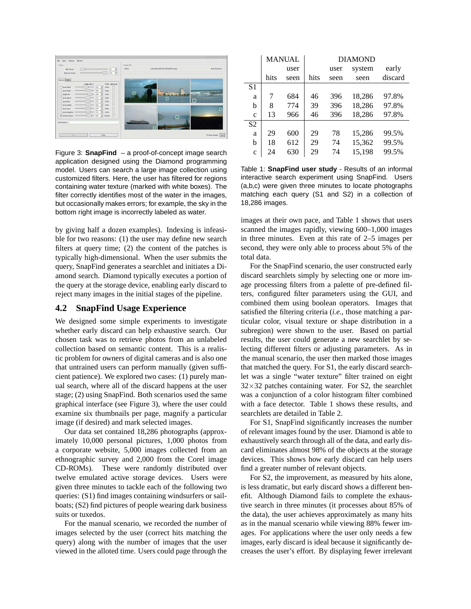

Figure 3: **SnapFind** – a proof-of-concept image search application designed using the Diamond programming model. Users can search a large image collection using customized filters. Here, the user has filtered for regions containing water texture (marked with white boxes). The filter correctly identifies most of the water in the images, but occasionally makes errors; for example, the sky in the bottom right image is incorrectly labeled as water.

by giving half a dozen examples). Indexing is infeasible for two reasons: (1) the user may define new search filters at query time; (2) the content of the patches is typically high-dimensional. When the user submits the query, SnapFind generates a searchlet and initiates a Diamond search. Diamond typically executes a portion of the query at the storage device, enabling early discard to reject many images in the initial stages of the pipeline.

## **4.2 SnapFind Usage Experience**

We designed some simple experiments to investigate whether early discard can help exhaustive search. Our chosen task was to retrieve photos from an unlabeled collection based on semantic content. This is a realistic problem for owners of digital cameras and is also one that untrained users can perform manually (given sufficient patience). We explored two cases: (1) purely manual search, where all of the discard happens at the user stage; (2) using SnapFind. Both scenarios used the same graphical interface (see Figure 3), where the user could examine six thumbnails per page, magnify a particular image (if desired) and mark selected images.

Our data set contained 18,286 photographs (approximately 10,000 personal pictures, 1,000 photos from a corporate website, 5,000 images collected from an ethnographic survey and 2,000 from the Corel image CD-ROMs). These were randomly distributed over twelve emulated active storage devices. Users were given three minutes to tackle each of the following two queries: (S1) find images containing windsurfers or sailboats; (S2) find pictures of people wearing dark business suits or tuxedos.

For the manual scenario, we recorded the number of images selected by the user (correct hits matching the query) along with the number of images that the user viewed in the alloted time. Users could page through the

|                | <b>MANUAL</b> |      | <b>DIAMOND</b> |      |        |         |  |
|----------------|---------------|------|----------------|------|--------|---------|--|
|                |               | user |                | user | system | early   |  |
|                | hits          | seen | hits           | seen | seen   | discard |  |
| S <sub>1</sub> |               |      |                |      |        |         |  |
| a              | 7             | 684  | 46             | 396  | 18,286 | 97.8%   |  |
| b              | 8             | 774  | 39             | 396  | 18,286 | 97.8%   |  |
| $\mathbf{C}$   | 13            | 966  | 46             | 396  | 18,286 | 97.8%   |  |
| S <sub>2</sub> |               |      |                |      |        |         |  |
| a              | 29            | 600  | 29             | 78   | 15,286 | 99.5%   |  |
| b              | 18            | 612  | 29             | 74   | 15,362 | 99.5%   |  |
| $\mathbf c$    | 24            | 630  | 29             | 74   | 15,198 | 99.5%   |  |

Table 1: **SnapFind user study** - Results of an informal interactive search experiment using SnapFind. Users (a,b,c) were given three minutes to locate photographs matching each query (S1 and S2) in a collection of 18,286 images.

images at their own pace, and Table 1 shows that users scanned the images rapidly, viewing 600–1,000 images in three minutes. Even at this rate of 2–5 images per second, they were only able to process about 5% of the total data.

For the SnapFind scenario, the user constructed early discard searchlets simply by selecting one or more image processing filters from a palette of pre-defined filters, configured filter parameters using the GUI, and combined them using boolean operators. Images that satisfied the filtering criteria (*i.e.*, those matching a particular color, visual texture or shape distribution in a subregion) were shown to the user. Based on partial results, the user could generate a new searchlet by selecting different filters or adjusting parameters. As in the manual scenario, the user then marked those images that matched the query. For S1, the early discard searchlet was a single "water texture" filter trained on eight  $32\times32$  patches containing water. For S2, the searchlet was a conjunction of a color histogram filter combined with a face detector. Table 1 shows these results, and searchlets are detailed in Table 2.

For S1, SnapFind significantly increases the number of relevant images found by the user. Diamond is able to exhaustively search through all of the data, and early discard eliminates almost 98% of the objects at the storage devices. This shows how early discard can help users find a greater number of relevant objects.

For S2, the improvement, as measured by hits alone, is less dramatic, but early discard shows a different benefit. Although Diamond fails to complete the exhaustive search in three minutes (it processes about 85% of the data), the user achieves approximately as many hits as in the manual scenario while viewing 88% fewer images. For applications where the user only needs a few images, early discard is ideal because it significantly decreases the user's effort. By displaying fewer irrelevant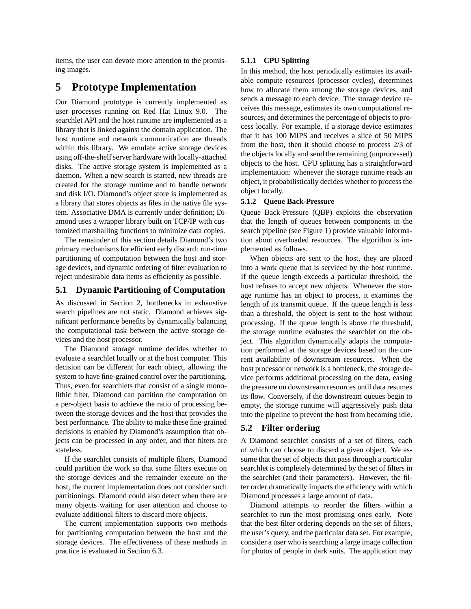items, the user can devote more attention to the promising images.

# **5 Prototype Implementation**

Our Diamond prototype is currently implemented as user processes running on Red Hat Linux 9.0. The searchlet API and the host runtime are implemented as a library that is linked against the domain application. The host runtime and network communication are threads within this library. We emulate active storage devices using off-the-shelf server hardware with locally-attached disks. The active storage system is implemented as a daemon. When a new search is started, new threads are created for the storage runtime and to handle network and disk I/O. Diamond's object store is implemented as a library that stores objects as files in the native file system. Associative DMA is currently under definition; Diamond uses a wrapper library built on TCP/IP with customized marshalling functions to minimize data copies.

The remainder of this section details Diamond's two primary mechanisms for efficient early discard: run-time partitioning of computation between the host and storage devices, and dynamic ordering of filter evaluation to reject undesirable data items as efficiently as possible.

## **5.1 Dynamic Partitioning of Computation**

As discussed in Section 2, bottlenecks in exhaustive search pipelines are not static. Diamond achieves significant performance benefits by dynamically balancing the computational task between the active storage devices and the host processor.

The Diamond storage runtime decides whether to evaluate a searchlet locally or at the host computer. This decision can be different for each object, allowing the system to have fine-grained control over the partitioning. Thus, even for searchlets that consist of a single monolithic filter, Diamond can partition the computation on a per-object basis to achieve the ratio of processing between the storage devices and the host that provides the best performance. The ability to make these fine-grained decisions is enabled by Diamond's assumption that objects can be processed in any order, and that filters are stateless.

If the searchlet consists of multiple filters, Diamond could partition the work so that some filters execute on the storage devices and the remainder execute on the host; the current implementation does not consider such partitionings. Diamond could also detect when there are many objects waiting for user attention and choose to evaluate additional filters to discard more objects.

The current implementation supports two methods for partitioning computation between the host and the storage devices. The effectiveness of these methods in practice is evaluated in Section 6.3.

#### **5.1.1 CPU Splitting**

In this method, the host periodically estimates its available compute resources (processor cycles), determines how to allocate them among the storage devices, and sends a message to each device. The storage device receives this message, estimates its own computational resources, and determines the percentage of objects to process locally. For example, if a storage device estimates that it has 100 MIPS and receives a slice of 50 MIPS from the host, then it should choose to process 2/3 of the objects locally and send the remaining (unprocessed) objects to the host. CPU splitting has a straightforward implementation: whenever the storage runtime reads an object, it probabilistically decides whether to process the object locally.

#### **5.1.2 Queue Back-Pressure**

Queue Back-Pressure (QBP) exploits the observation that the length of queues between components in the search pipeline (see Figure 1) provide valuable information about overloaded resources. The algorithm is implemented as follows.

When objects are sent to the host, they are placed into a work queue that is serviced by the host runtime. If the queue length exceeds a particular threshold, the host refuses to accept new objects. Whenever the storage runtime has an object to process, it examines the length of its transmit queue. If the queue length is less than a threshold, the object is sent to the host without processing. If the queue length is above the threshold, the storage runtime evaluates the searchlet on the object. This algorithm dynamically adapts the computation performed at the storage devices based on the current availability of downstream resources. When the host processor or network is a bottleneck, the storage device performs additional processing on the data, easing the pressure on downstream resources until data resumes its flow. Conversely, if the downstream queues begin to empty, the storage runtime will aggressively push data into the pipeline to prevent the host from becoming idle.

## **5.2 Filter ordering**

A Diamond searchlet consists of a set of filters, each of which can choose to discard a given object. We assume that the set of objects that pass through a particular searchlet is completely determined by the set of filters in the searchlet (and their parameters). However, the filter order dramatically impacts the efficiency with which Diamond processes a large amount of data.

Diamond attempts to reorder the filters within a searchlet to run the most promising ones early. Note that the best filter ordering depends on the set of filters, the user's query, and the particular data set. For example, consider a user who is searching a large image collection for photos of people in dark suits. The application may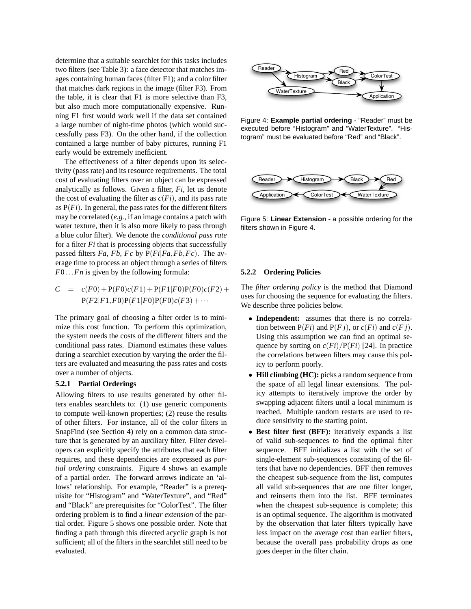determine that a suitable searchlet for this tasks includes two filters (see Table 3): a face detector that matches images containing human faces (filter F1); and a color filter that matches dark regions in the image (filter F3). From the table, it is clear that F1 is more selective than F3, but also much more computationally expensive. Running F1 first would work well if the data set contained a large number of night-time photos (which would successfully pass F3). On the other hand, if the collection contained a large number of baby pictures, running F1 early would be extremely inefficient.

The effectiveness of a filter depends upon its selectivity (pass rate) and its resource requirements. The total cost of evaluating filters over an object can be expressed analytically as follows. Given a filter, *Fi*, let us denote the cost of evaluating the filter as  $c(F_i)$ , and its pass rate as  $P(F_i)$ . In general, the pass rates for the different filters may be correlated (*e.g.*, if an image contains a patch with water texture, then it is also more likely to pass through a blue color filter). We denote the *conditional pass rate* for a filter *Fi* that is processing objects that successfully passed filters *Fa*, *Fb*, *Fc* by  $P(Fi|Fa,Fb,Fc)$ . The average time to process an object through a series of filters *F*0...*Fn* is given by the following formula:

$$
C = c(F0) + P(F0)c(F1) + P(F1|F0)P(F0)c(F2) + P(F2|F1,F0)P(F1|F0)P(F0)c(F3) + \cdots
$$

The primary goal of choosing a filter order is to minimize this cost function. To perform this optimization, the system needs the costs of the different filters and the conditional pass rates. Diamond estimates these values during a searchlet execution by varying the order the filters are evaluated and measuring the pass rates and costs over a number of objects.

#### **5.2.1 Partial Orderings**

Allowing filters to use results generated by other filters enables searchlets to: (1) use generic components to compute well-known properties; (2) reuse the results of other filters. For instance, all of the color filters in SnapFind (see Section 4) rely on a common data structure that is generated by an auxiliary filter. Filter developers can explicitly specify the attributes that each filter requires, and these dependencies are expressed as *partial ordering* constraints. Figure 4 shows an example of a partial order. The forward arrows indicate an 'allows' relationship. For example, "Reader" is a prerequisite for "Histogram" and "WaterTexture", and "Red" and "Black" are prerequisites for "ColorTest". The filter ordering problem is to find a *linear extension* of the partial order. Figure 5 shows one possible order. Note that finding a path through this directed acyclic graph is not sufficient; all of the filters in the searchlet still need to be evaluated.



Figure 4: **Example partial ordering** - "Reader" must be executed before "Histogram" and "WaterTexture". "Histogram" must be evaluated before "Red" and "Black".



Figure 5: **Linear Extension** - a possible ordering for the filters shown in Figure 4.

#### **5.2.2 Ordering Policies**

The *filter ordering policy* is the method that Diamond uses for choosing the sequence for evaluating the filters. We describe three policies below.

- **Independent:** assumes that there is no correlation between  $P(F_i)$  and  $P(F_j)$ , or  $c(F_i)$  and  $c(F_j)$ . Using this assumption we can find an optimal sequence by sorting on  $c(F_i)/P(F_i)$  [24]. In practice the correlations between filters may cause this policy to perform poorly.
- **Hill climbing (HC):** picks a random sequence from the space of all legal linear extensions. The policy attempts to iteratively improve the order by swapping adjacent filters until a local minimum is reached. Multiple random restarts are used to reduce sensitivity to the starting point.
- **Best filter first (BFF):** iteratively expands a list of valid sub-sequences to find the optimal filter sequence. BFF initializes a list with the set of single-element sub-sequences consisting of the filters that have no dependencies. BFF then removes the cheapest sub-sequence from the list, computes all valid sub-sequences that are one filter longer, and reinserts them into the list. BFF terminates when the cheapest sub-sequence is complete; this is an optimal sequence. The algorithm is motivated by the observation that later filters typically have less impact on the average cost than earlier filters, because the overall pass probability drops as one goes deeper in the filter chain.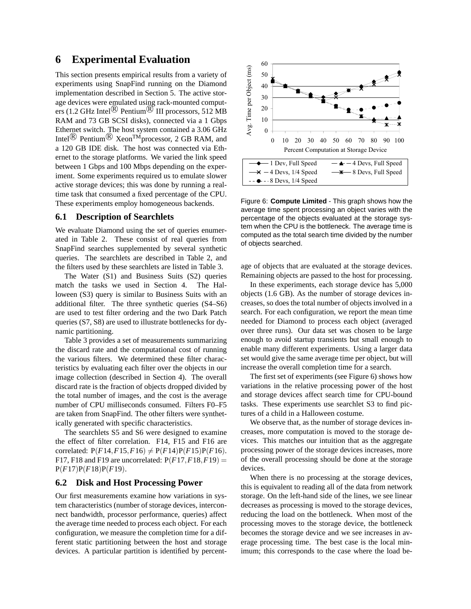# **6 Experimental Evaluation**

This section presents empirical results from a variety of experiments using SnapFind running on the Diamond implementation described in Section 5. The active storage devices were emulated using rack-mounted computers (1.2 GHz Intel $\overline{R}$  Pentium $\overline{R}$  III processors, 512 MB RAM and 73 GB SCSI disks), connected via a 1 Gbps Ethernet switch. The host system contained a 3.06 GHz Intel<sup>( $\&$ </sup> Pentium<sup>( $\&$ </sup> Xeon<sup>TM</sup> processor, 2 GB RAM, and a 120 GB IDE disk. The host was connected via Ethernet to the storage platforms. We varied the link speed between 1 Gbps and 100 Mbps depending on the experiment. Some experiments required us to emulate slower active storage devices; this was done by running a realtime task that consumed a fixed percentage of the CPU. These experiments employ homogeneous backends.

## **6.1 Description of Searchlets**

We evaluate Diamond using the set of queries enumerated in Table 2. These consist of real queries from SnapFind searches supplemented by several synthetic queries. The searchlets are described in Table 2, and the filters used by these searchlets are listed in Table 3.

The Water (S1) and Business Suits (S2) queries match the tasks we used in Section 4. The Halloween (S3) query is similar to Business Suits with an additional filter. The three synthetic queries (S4–S6) are used to test filter ordering and the two Dark Patch queries (S7, S8) are used to illustrate bottlenecks for dynamic partitioning.

Table 3 provides a set of measurements summarizing the discard rate and the computational cost of running the various filters. We determined these filter characteristics by evaluating each filter over the objects in our image collection (described in Section 4). The overall discard rate is the fraction of objects dropped divided by the total number of images, and the cost is the average number of CPU milliseconds consumed. Filters F0–F5 are taken from SnapFind. The other filters were synthetically generated with specific characteristics.

The searchlets S5 and S6 were designed to examine the effect of filter correlation. F14, F15 and F16 are correlated:  $P(F14, F15, F16) \neq P(F14)P(F15)P(F16)$ . F17, F18 and F19 are uncorrelated:  $P(F17, F18, F19) =$ P(*F*17)P(*F*18)P(*F*19).

#### **6.2 Disk and Host Processing Power**

Our first measurements examine how variations in system characteristics (number of storage devices, interconnect bandwidth, processor performance, queries) affect the average time needed to process each object. For each configuration, we measure the completion time for a different static partitioning between the host and storage devices. A particular partition is identified by percent-



Figure 6: **Compute Limited** - This graph shows how the average time spent processing an object varies with the percentage of the objects evaluated at the storage system when the CPU is the bottleneck. The average time is computed as the total search time divided by the number of objects searched.

age of objects that are evaluated at the storage devices. Remaining objects are passed to the host for processing.

In these experiments, each storage device has 5,000 objects (1.6 GB). As the number of storage devices increases, so does the total number of objects involved in a search. For each configuration, we report the mean time needed for Diamond to process each object (averaged over three runs). Our data set was chosen to be large enough to avoid startup transients but small enough to enable many different experiments. Using a larger data set would give the same average time per object, but will increase the overall completion time for a search.

The first set of experiments (see Figure 6) shows how variations in the relative processing power of the host and storage devices affect search time for CPU-bound tasks. These experiments use searchlet S3 to find pictures of a child in a Halloween costume.

We observe that, as the number of storage devices increases, more computation is moved to the storage devices. This matches our intuition that as the aggregate processing power of the storage devices increases, more of the overall processing should be done at the storage devices.

When there is no processing at the storage devices, this is equivalent to reading all of the data from network storage. On the left-hand side of the lines, we see linear decreases as processing is moved to the storage devices, reducing the load on the bottleneck. When most of the processing moves to the storage device, the bottleneck becomes the storage device and we see increases in average processing time. The best case is the local minimum; this corresponds to the case where the load be-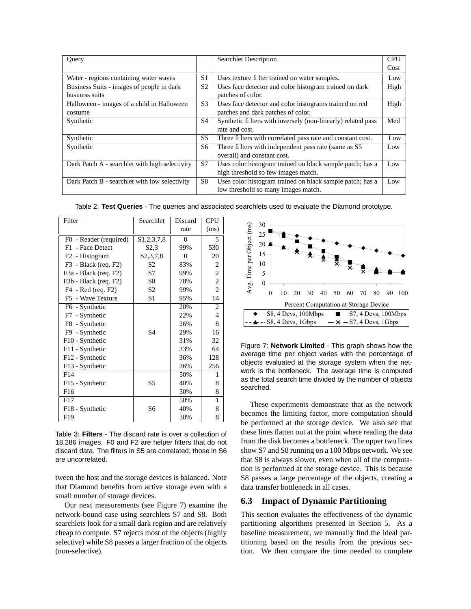| Ouery                                          |                | <b>Searchlet Description</b>                                 | <b>CPU</b> |
|------------------------------------------------|----------------|--------------------------------------------------------------|------------|
|                                                |                |                                                              | Cost       |
| Water - regions containing water waves         | S <sub>1</sub> | Uses texture filter trained on water samples.                | Low        |
| Business Suits - images of people in dark      |                | Uses face detector and color histogram trained on dark       | High       |
| business suits                                 |                | patches of color.                                            |            |
| Halloween - images of a child in Halloween     |                | Uses face detector and color histograms trained on red       | High       |
| costume                                        |                | patches and dark patches of color.                           |            |
| Synthetic                                      |                | Synthetic filters with inversely (non-linearly) related pass | Med        |
|                                                |                | rate and cost.                                               |            |
| Synthetic                                      | S <sub>5</sub> | Three fi lters with correlated pass rate and constant cost.  | Low        |
| Synthetic                                      | S6             | Three fi lters with independent pass rate (same as S5)       | Low        |
|                                                |                | overall) and constant cost.                                  |            |
| Dark Patch A - searchlet with high selectivity | S7             | Uses color histogram trained on black sample patch; has a    | Low        |
|                                                |                | high threshold so few images match.                          |            |
| Dark Patch B - searchlet with low selectivity  | S8             | Uses color histogram trained on black sample patch; has a    | Low        |
|                                                |                | low threshold so many images match.                          |            |

Table 2: **Test Queries** - The queries and associated searchlets used to evaluate the Diamond prototype.

| Filter                     | Searchlet                | Discard  | <b>CPU</b>       |
|----------------------------|--------------------------|----------|------------------|
|                            |                          | rate     | (ms)             |
| F0 - Reader (required)     | \$1,2,3,7,8              | $\theta$ | 5                |
| F1.<br>- Face Detect       | S <sub>2</sub> .3        | 99%      | 530              |
| F <sub>2</sub> - Histogram | S <sub>2</sub> , 3, 7, 8 | $\theta$ | 20               |
| F3 - Black (req. F2)       | S <sub>2</sub>           | 83%      | 2                |
| F3a - Black (req. F2)      | S7                       | 99%      | 2                |
| F3b - Black (req. F2)      | S <sub>8</sub>           | 78%      | $\boldsymbol{2}$ |
| F4 - Red (req. F2)         | S <sub>2</sub>           | 99%      | $\overline{2}$   |
| F5 - Wave Texture          | S1                       | 95%      | 14               |
| F6 - Synthetic             |                          | 20%      | 2                |
| F7 - Synthetic             |                          | 22%      | $\overline{4}$   |
| F8 - Synthetic             |                          | 26%      | 8                |
| F9 - Synthetic             | S <sub>4</sub>           | 29%      | 16               |
| F10 - Synthetic            |                          | 31%      | 32               |
| F11 - Synthetic            |                          | 33%      | 64               |
| F12 - Synthetic            |                          | 36%      | 128              |
| F13 - Synthetic            |                          | 36%      | 256              |
| F14                        |                          | 50%      | 1                |
| F15 - Synthetic            | S5                       | 40%      | 8                |
| F <sub>16</sub>            |                          | 30%      | 8                |
| F17                        |                          | 50%      | 1                |
| F18 - Synthetic            | S6                       | 40%      | 8                |
| F <sub>19</sub>            |                          | 30%      | 8                |

Table 3: **Filters** - The discard rate is over a collection of 18,286 images. F0 and F2 are helper filters that do not discard data. The filters in S5 are correlated; those in S6 are uncorrelated.

tween the host and the storage devices is balanced. Note that Diamond benefits from active storage even with a small number of storage devices.

Our next measurements (see Figure 7) examine the network-bound case using searchlets S7 and S8. Both searchlets look for a small dark region and are relatively cheap to compute. S7 rejects most of the objects (highly selective) while S8 passes a larger fraction of the objects (non-selective).



Figure 7: **Network Limited** - This graph shows how the average time per object varies with the percentage of objects evaluated at the storage system when the network is the bottleneck. The average time is computed as the total search time divided by the number of objects searched.

These experiments demonstrate that as the network becomes the limiting factor, more computation should be performed at the storage device. We also see that these lines flatten out at the point where reading the data from the disk becomes a bottleneck. The upper two lines show S7 and S8 running on a 100 Mbps network. We see that S8 is always slower, even when all of the computation is performed at the storage device. This is because S8 passes a large percentage of the objects, creating a data transfer bottleneck in all cases.

## **6.3 Impact of Dynamic Partitioning**

This section evaluates the effectiveness of the dynamic partitioning algorithms presented in Section 5. As a baseline measurement, we manually find the ideal partitioning based on the results from the previous section. We then compare the time needed to complete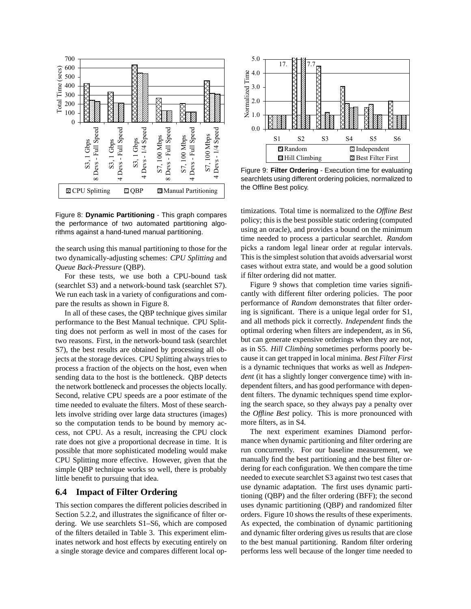

Figure 8: **Dynamic Partitioning** - This graph compares the performance of two automated partitioning algorithms against a hand-tuned manual partitioning.

the search using this manual partitioning to those for the two dynamically-adjusting schemes: *CPU Splitting* and *Queue Back-Pressure* (QBP).

For these tests, we use both a CPU-bound task (searchlet S3) and a network-bound task (searchlet S7). We run each task in a variety of configurations and compare the results as shown in Figure 8.

In all of these cases, the QBP technique gives similar performance to the Best Manual technique. CPU Splitting does not perform as well in most of the cases for two reasons. First, in the network-bound task (searchlet S7), the best results are obtained by processing all objects at the storage devices. CPU Splitting always tries to process a fraction of the objects on the host, even when sending data to the host is the bottleneck. QBP detects the network bottleneck and processes the objects locally. Second, relative CPU speeds are a poor estimate of the time needed to evaluate the filters. Most of these searchlets involve striding over large data structures (images) so the computation tends to be bound by memory access, not CPU. As a result, increasing the CPU clock rate does not give a proportional decrease in time. It is possible that more sophisticated modeling would make CPU Splitting more effective. However, given that the simple QBP technique works so well, there is probably little benefit to pursuing that idea.

#### **6.4 Impact of Filter Ordering**

This section compares the different policies described in Section 5.2.2, and illustrates the significance of filter ordering. We use searchlets S1–S6, which are composed of the filters detailed in Table 3. This experiment eliminates network and host effects by executing entirely on a single storage device and compares different local op-



Figure 9: **Filter Ordering** - Execution time for evaluating searchlets using different ordering policies, normalized to the Offline Best policy.

timizations. Total time is normalized to the *Offline Best* policy; this is the best possible static ordering (computed using an oracle), and provides a bound on the minimum time needed to process a particular searchlet. *Random* picks a random legal linear order at regular intervals. This is the simplest solution that avoids adversarial worst cases without extra state, and would be a good solution if filter ordering did not matter.

Figure 9 shows that completion time varies significantly with different filter ordering policies. The poor performance of *Random* demonstrates that filter ordering is significant. There is a unique legal order for S1, and all methods pick it correctly. *Independent* finds the optimal ordering when filters are independent, as in S6, but can generate expensive orderings when they are not, as in S5. *Hill Climbing* sometimes performs poorly because it can get trapped in local minima. *Best Filter First* is a dynamic techniques that works as well as *Independent* (it has a slightly longer convergence time) with independent filters, and has good performance with dependent filters. The dynamic techniques spend time exploring the search space, so they always pay a penalty over the *Offline Best* policy. This is more pronounced with more filters, as in S4.

The next experiment examines Diamond performance when dynamic partitioning and filter ordering are run concurrently. For our baseline measurement, we manually find the best partitioning and the best filter ordering for each configuration. We then compare the time needed to execute searchlet S3 against two test cases that use dynamic adaptation. The first uses dynamic partitioning (QBP) and the filter ordering (BFF); the second uses dynamic partitioning (QBP) and randomized filter orders. Figure 10 shows the results of these experiments. As expected, the combination of dynamic partitioning and dynamic filter ordering gives us results that are close to the best manual partitioning. Random filter ordering performs less well because of the longer time needed to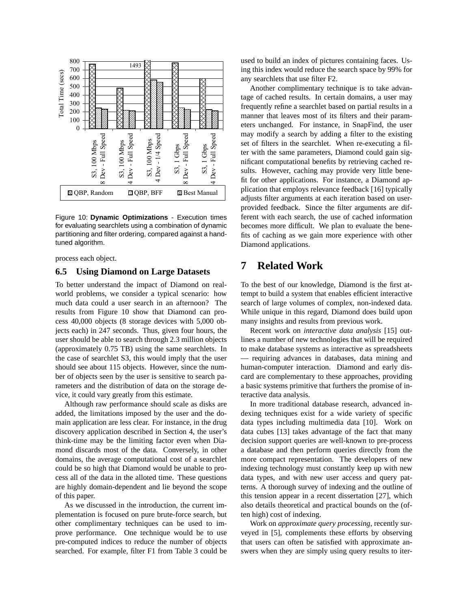

Figure 10: **Dynamic Optimizations** - Execution times for evaluating searchlets using a combination of dynamic partitioning and filter ordering, compared against a handtuned algorithm.

process each object.

#### **6.5 Using Diamond on Large Datasets**

To better understand the impact of Diamond on realworld problems, we consider a typical scenario: how much data could a user search in an afternoon? The results from Figure 10 show that Diamond can process 40,000 objects (8 storage devices with 5,000 objects each) in 247 seconds. Thus, given four hours, the user should be able to search through 2.3 million objects (approximately 0.75 TB) using the same searchlets. In the case of searchlet S3, this would imply that the user should see about 115 objects. However, since the number of objects seen by the user is sensitive to search parameters and the distribution of data on the storage device, it could vary greatly from this estimate.

Although raw performance should scale as disks are added, the limitations imposed by the user and the domain application are less clear. For instance, in the drug discovery application described in Section 4, the user's think-time may be the limiting factor even when Diamond discards most of the data. Conversely, in other domains, the average computational cost of a searchlet could be so high that Diamond would be unable to process all of the data in the alloted time. These questions are highly domain-dependent and lie beyond the scope of this paper.

As we discussed in the introduction, the current implementation is focused on pure brute-force search, but other complimentary techniques can be used to improve performance. One technique would be to use pre-computed indices to reduce the number of objects searched. For example, filter F1 from Table 3 could be used to build an index of pictures containing faces. Using this index would reduce the search space by 99% for any searchlets that use filter F2.

Another complimentary technique is to take advantage of cached results. In certain domains, a user may frequently refine a searchlet based on partial results in a manner that leaves most of its filters and their parameters unchanged. For instance, in SnapFind, the user may modify a search by adding a filter to the existing set of filters in the searchlet. When re-executing a filter with the same parameters, Diamond could gain significant computational benefits by retrieving cached results. However, caching may provide very little benefit for other applications. For instance, a Diamond application that employs relevance feedback [16] typically adjusts filter arguments at each iteration based on userprovided feedback. Since the filter arguments are different with each search, the use of cached information becomes more difficult. We plan to evaluate the benefits of caching as we gain more experience with other Diamond applications.

# **7 Related Work**

To the best of our knowledge, Diamond is the first attempt to build a system that enables efficient interactive search of large volumes of complex, non-indexed data. While unique in this regard, Diamond does build upon many insights and results from previous work.

Recent work on *interactive data analysis* [15] outlines a number of new technologies that will be required to make database systems as interactive as spreadsheets — requiring advances in databases, data mining and human-computer interaction. Diamond and early discard are complementary to these approaches, providing a basic systems primitive that furthers the promise of interactive data analysis.

In more traditional database research, advanced indexing techniques exist for a wide variety of specific data types including multimedia data [10]. Work on data cubes [13] takes advantage of the fact that many decision support queries are well-known to pre-process a database and then perform queries directly from the more compact representation. The developers of new indexing technology must constantly keep up with new data types, and with new user access and query patterns. A thorough survey of indexing and the outline of this tension appear in a recent dissertation [27], which also details theoretical and practical bounds on the (often high) cost of indexing.

Work on *approximate query processing*, recently surveyed in [5], complements these efforts by observing that users can often be satisfied with approximate answers when they are simply using query results to iter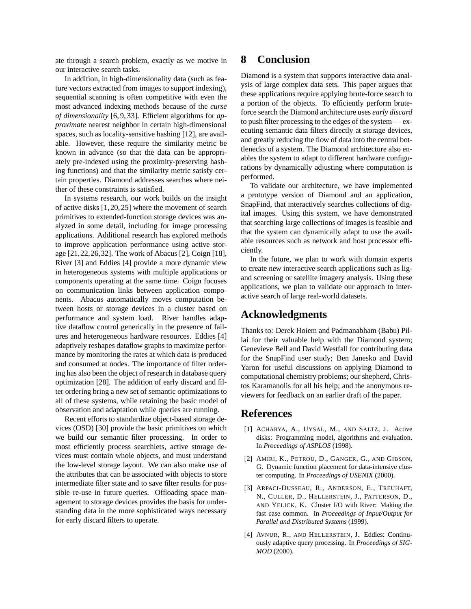ate through a search problem, exactly as we motive in our interactive search tasks.

In addition, in high-dimensionality data (such as feature vectors extracted from images to support indexing), sequential scanning is often competitive with even the most advanced indexing methods because of the *curse of dimensionality* [6, 9, 33]. Efficient algorithms for *approximate* nearest neighbor in certain high-dimensional spaces, such as locality-sensitive hashing [12], are available. However, these require the similarity metric be known in advance (so that the data can be appropriately pre-indexed using the proximity-preserving hashing functions) and that the similarity metric satisfy certain properties. Diamond addresses searches where neither of these constraints is satisfied.

In systems research, our work builds on the insight of active disks [1, 20, 25] where the movement of search primitives to extended-function storage devices was analyzed in some detail, including for image processing applications. Additional research has explored methods to improve application performance using active storage [21,22,26,32]. The work of Abacus [2], Coign [18], River [3] and Eddies [4] provide a more dynamic view in heterogeneous systems with multiple applications or components operating at the same time. Coign focuses on communication links between application components. Abacus automatically moves computation between hosts or storage devices in a cluster based on performance and system load. River handles adaptive dataflow control generically in the presence of failures and heterogeneous hardware resources. Eddies [4] adaptively reshapes dataflow graphs to maximize performance by monitoring the rates at which data is produced and consumed at nodes. The importance of filter ordering has also been the object of research in database query optimization [28]. The addition of early discard and filter ordering bring a new set of semantic optimizations to all of these systems, while retaining the basic model of observation and adaptation while queries are running.

Recent efforts to standardize object-based storage devices (OSD) [30] provide the basic primitives on which we build our semantic filter processing. In order to most efficiently process searchlets, active storage devices must contain whole objects, and must understand the low-level storage layout. We can also make use of the attributes that can be associated with objects to store intermediate filter state and to save filter results for possible re-use in future queries. Offloading space management to storage devices provides the basis for understanding data in the more sophisticated ways necessary for early discard filters to operate.

# **8 Conclusion**

Diamond is a system that supports interactive data analysis of large complex data sets. This paper argues that these applications require applying brute-force search to a portion of the objects. To efficiently perform bruteforce search the Diamond architecture uses *early discard* to push filter processing to the edges of the system — executing semantic data filters directly at storage devices, and greatly reducing the flow of data into the central bottlenecks of a system. The Diamond architecture also enables the system to adapt to different hardware configurations by dynamically adjusting where computation is performed.

To validate our architecture, we have implemented a prototype version of Diamond and an application, SnapFind, that interactively searches collections of digital images. Using this system, we have demonstrated that searching large collections of images is feasible and that the system can dynamically adapt to use the available resources such as network and host processor efficiently.

In the future, we plan to work with domain experts to create new interactive search applications such as ligand screening or satellite imagery analysis. Using these applications, we plan to validate our approach to interactive search of large real-world datasets.

# **Acknowledgments**

Thanks to: Derek Hoiem and Padmanabham (Babu) Pillai for their valuable help with the Diamond system; Genevieve Bell and David Westfall for contributing data for the SnapFind user study; Ben Janesko and David Yaron for useful discussions on applying Diamond to computational chemistry problems; our shepherd, Christos Karamanolis for all his help; and the anonymous reviewers for feedback on an earlier draft of the paper.

## **References**

- [1] ACHARYA, A., UYSAL, M., AND SALTZ, J. Active disks: Programming model, algorithms and evaluation. In *Proceedings of ASPLOS* (1998).
- [2] AMIRI, K., PETROU, D., GANGER, G., AND GIBSON, G. Dynamic function placement for data-intensive cluster computing. In *Proceedings of USENIX* (2000).
- [3] ARPACI-DUSSEAU, R., ANDERSON, E., TREUHAFT, N., CULLER, D., HELLERSTEIN, J., PATTERSON, D., AND YELICK, K. Cluster I/O with River: Making the fast case common. In *Proceedings of Input/Output for Parallel and Distributed Systems* (1999).
- [4] AVNUR, R., AND HELLERSTEIN, J. Eddies: Continuously adaptive query processing. In *Proceedings of SIG-MOD* (2000).